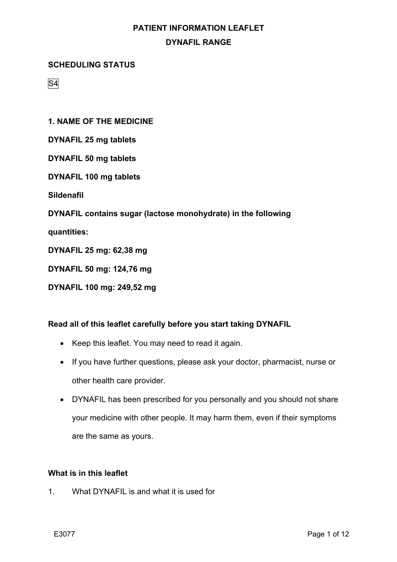#### **SCHEDULING STATUS**

S4

**1. NAME OF THE MEDICINE**

- **DYNAFIL 25 mg tablets**
- **DYNAFIL 50 mg tablets**
- **DYNAFIL 100 mg tablets**

**Sildenafil**

**DYNAFIL contains sugar (lactose monohydrate) in the following**

**quantities:**

- **DYNAFIL 25 mg: 62,38 mg**
- **DYNAFIL 50 mg: 124,76 mg**
- **DYNAFIL 100 mg: 249,52 mg**

#### **Read all of this leaflet carefully before you start taking DYNAFIL**

- Keep this leaflet. You may need to read it again.
- If you have further questions, please ask your doctor, pharmacist, nurse or other health care provider.
- DYNAFIL has been prescribed for you personally and you should not share your medicine with other people. It may harm them, even if their symptoms are the same as yours.

#### **What is in this leaflet**

1. What DYNAFIL is and what it is used for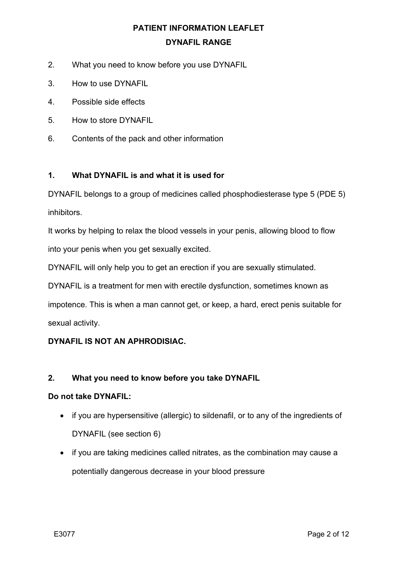- 2. What you need to know before you use DYNAFIL
- 3. How to use DYNAFIL
- 4. Possible side effects
- 5. How to store DYNAFIL
- 6. Contents of the pack and other information

#### **1. What DYNAFIL is and what it is used for**

DYNAFIL belongs to a group of medicines called phosphodiesterase type 5 (PDE 5) inhibitors.

It works by helping to relax the blood vessels in your penis, allowing blood to flow into your penis when you get sexually excited.

DYNAFIL will only help you to get an erection if you are sexually stimulated.

DYNAFIL is a treatment for men with erectile dysfunction, sometimes known as

impotence. This is when a man cannot get, or keep, a hard, erect penis suitable for sexual activity.

### **DYNAFIL IS NOT AN APHRODISIAC.**

#### **2. What you need to know before you take DYNAFIL**

#### **Do not take DYNAFIL:**

- if you are hypersensitive (allergic) to sildenafil, or to any of the ingredients of DYNAFIL (see section 6)
- if you are taking medicines called nitrates, as the combination may cause a potentially dangerous decrease in your blood pressure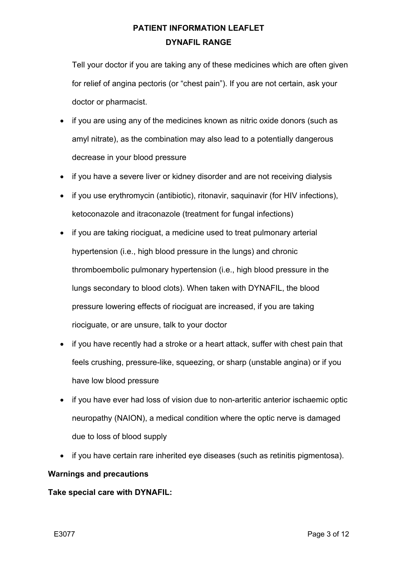Tell your doctor if you are taking any of these medicines which are often given for relief of angina pectoris (or "chest pain"). If you are not certain, ask your doctor or pharmacist.

- if you are using any of the medicines known as nitric oxide donors (such as amyl nitrate), as the combination may also lead to a potentially dangerous decrease in your blood pressure
- if you have a severe liver or kidney disorder and are not receiving dialysis
- if you use erythromycin (antibiotic), ritonavir, saquinavir (for HIV infections), ketoconazole and itraconazole (treatment for fungal infections)
- if you are taking riociguat, a medicine used to treat pulmonary arterial hypertension (i.e., high blood pressure in the lungs) and chronic thromboembolic pulmonary hypertension (i.e., high blood pressure in the lungs secondary to blood clots). When taken with DYNAFIL, the blood pressure lowering effects of riociguat are increased, if you are taking riociguate, or are unsure, talk to your doctor
- if you have recently had a stroke or a heart attack, suffer with chest pain that feels crushing, pressure-like, squeezing, or sharp (unstable angina) or if you have low blood pressure
- if you have ever had loss of vision due to non-arteritic anterior ischaemic optic neuropathy (NAION), a medical condition where the optic nerve is damaged due to loss of blood supply
- if you have certain rare inherited eye diseases (such as retinitis pigmentosa).

#### **Warnings and precautions**

#### **Take special care with DYNAFIL:**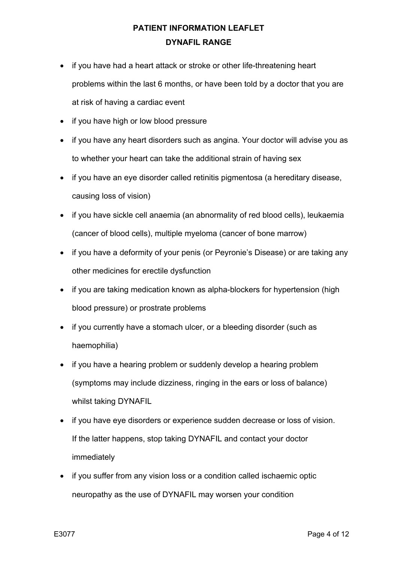- if you have had a heart attack or stroke or other life-threatening heart problems within the last 6 months, or have been told by a doctor that you are at risk of having a cardiac event
- if you have high or low blood pressure
- if you have any heart disorders such as angina. Your doctor will advise you as to whether your heart can take the additional strain of having sex
- if you have an eye disorder called retinitis pigmentosa (a hereditary disease, causing loss of vision)
- if you have sickle cell anaemia (an abnormality of red blood cells), leukaemia (cancer of blood cells), multiple myeloma (cancer of bone marrow)
- if you have a deformity of your penis (or Peyronie's Disease) or are taking any other medicines for erectile dysfunction
- if you are taking medication known as alpha-blockers for hypertension (high blood pressure) or prostrate problems
- if you currently have a stomach ulcer, or a bleeding disorder (such as haemophilia)
- if you have a hearing problem or suddenly develop a hearing problem (symptoms may include dizziness, ringing in the ears or loss of balance) whilst taking DYNAFIL
- if you have eye disorders or experience sudden decrease or loss of vision. If the latter happens, stop taking DYNAFIL and contact your doctor immediately
- if you suffer from any vision loss or a condition called ischaemic optic neuropathy as the use of DYNAFIL may worsen your condition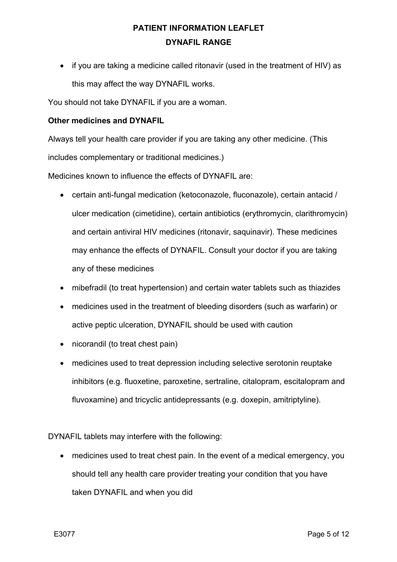• if you are taking a medicine called ritonavir (used in the treatment of HIV) as this may affect the way DYNAFIL works.

You should not take DYNAFIL if you are a woman.

#### **Other medicines and DYNAFIL**

Always tell your health care provider if you are taking any other medicine. (This includes complementary or traditional medicines.)

Medicines known to influence the effects of DYNAFIL are:

- certain anti-fungal medication (ketoconazole, fluconazole), certain antacid / ulcer medication (cimetidine), certain antibiotics (erythromycin, clarithromycin) and certain antiviral HIV medicines (ritonavir, saquinavir). These medicines may enhance the effects of DYNAFIL. Consult your doctor if you are taking any of these medicines
- mibefradil (to treat hypertension) and certain water tablets such as thiazides
- medicines used in the treatment of bleeding disorders (such as warfarin) or active peptic ulceration, DYNAFIL should be used with caution
- nicorandil (to treat chest pain)
- medicines used to treat depression including selective serotonin reuptake inhibitors (e.g. fluoxetine, paroxetine, sertraline, citalopram, escitalopram and fluvoxamine) and tricyclic antidepressants (e.g. doxepin, amitriptyline).

DYNAFIL tablets may interfere with the following:

• medicines used to treat chest pain. In the event of a medical emergency, you should tell any health care provider treating your condition that you have taken DYNAFIL and when you did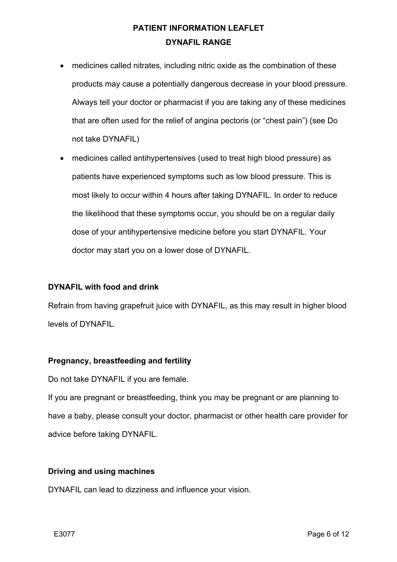- medicines called nitrates, including nitric oxide as the combination of these products may cause a potentially dangerous decrease in your blood pressure. Always tell your doctor or pharmacist if you are taking any of these medicines that are often used for the relief of angina pectoris (or "chest pain") (see Do not take DYNAFIL)
- medicines called antihypertensives (used to treat high blood pressure) as patients have experienced symptoms such as low blood pressure. This is most likely to occur within 4 hours after taking DYNAFIL. In order to reduce the likelihood that these symptoms occur, you should be on a regular daily dose of your antihypertensive medicine before you start DYNAFIL. Your doctor may start you on a lower dose of DYNAFIL.

#### **DYNAFIL with food and drink**

Refrain from having grapefruit juice with DYNAFIL, as this may result in higher blood levels of DYNAFIL.

#### **Pregnancy, breastfeeding and fertility**

Do not take DYNAFIL if you are female.

If you are pregnant or breastfeeding, think you may be pregnant or are planning to have a baby, please consult your doctor, pharmacist or other health care provider for advice before taking DYNAFIL.

#### **Driving and using machines**

DYNAFIL can lead to dizziness and influence your vision.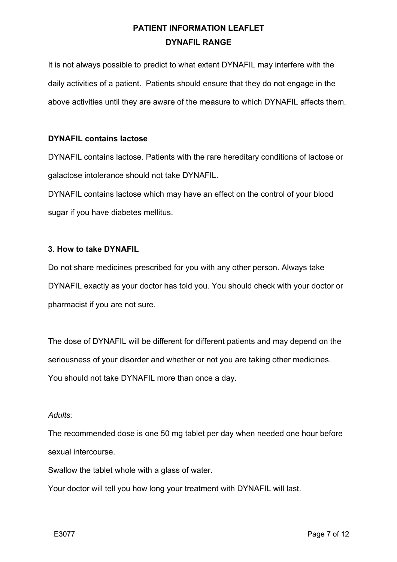It is not always possible to predict to what extent DYNAFIL may interfere with the daily activities of a patient. Patients should ensure that they do not engage in the above activities until they are aware of the measure to which DYNAFIL affects them.

#### **DYNAFIL contains lactose**

DYNAFIL contains lactose. Patients with the rare hereditary conditions of lactose or galactose intolerance should not take DYNAFIL.

DYNAFIL contains lactose which may have an effect on the control of your blood sugar if you have diabetes mellitus.

#### **3. How to take DYNAFIL**

Do not share medicines prescribed for you with any other person. Always take DYNAFIL exactly as your doctor has told you. You should check with your doctor or pharmacist if you are not sure.

The dose of DYNAFIL will be different for different patients and may depend on the seriousness of your disorder and whether or not you are taking other medicines. You should not take DYNAFIL more than once a day.

#### *Adults:*

The recommended dose is one 50 mg tablet per day when needed one hour before sexual intercourse.

Swallow the tablet whole with a glass of water.

Your doctor will tell you how long your treatment with DYNAFIL will last.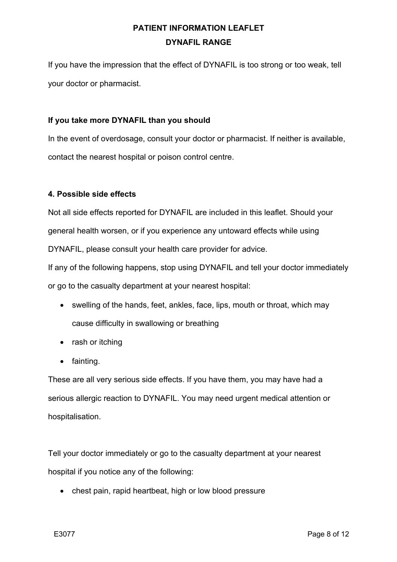If you have the impression that the effect of DYNAFIL is too strong or too weak, tell your doctor or pharmacist.

#### **If you take more DYNAFIL than you should**

In the event of overdosage, consult your doctor or pharmacist. If neither is available, contact the nearest hospital or poison control centre.

#### **4. Possible side effects**

Not all side effects reported for DYNAFIL are included in this leaflet. Should your general health worsen, or if you experience any untoward effects while using DYNAFIL, please consult your health care provider for advice.

If any of the following happens, stop using DYNAFIL and tell your doctor immediately or go to the casualty department at your nearest hospital:

- swelling of the hands, feet, ankles, face, lips, mouth or throat, which may cause difficulty in swallowing or breathing
- rash or itching
- fainting.

These are all very serious side effects. If you have them, you may have had a serious allergic reaction to DYNAFIL. You may need urgent medical attention or hospitalisation.

Tell your doctor immediately or go to the casualty department at your nearest hospital if you notice any of the following:

• chest pain, rapid heartbeat, high or low blood pressure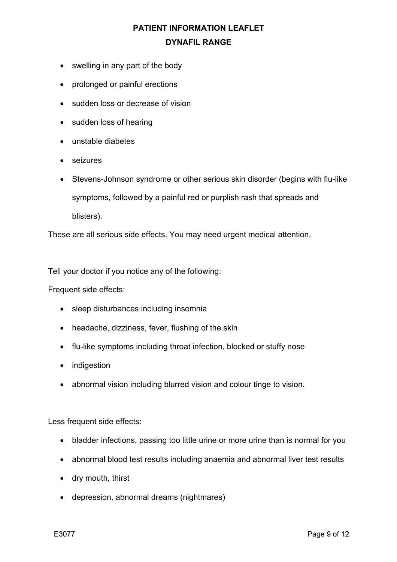- swelling in any part of the body
- prolonged or painful erections
- sudden loss or decrease of vision
- sudden loss of hearing
- unstable diabetes
- seizures
- Stevens-Johnson syndrome or other serious skin disorder (begins with flu-like symptoms, followed by a painful red or purplish rash that spreads and blisters).

These are all serious side effects. You may need urgent medical attention.

Tell your doctor if you notice any of the following:

Frequent side effects:

- sleep disturbances including insomnia
- headache, dizziness, fever, flushing of the skin
- flu-like symptoms including throat infection, blocked or stuffy nose
- indigestion
- abnormal vision including blurred vision and colour tinge to vision.

Less frequent side effects:

- bladder infections, passing too little urine or more urine than is normal for you
- abnormal blood test results including anaemia and abnormal liver test results
- dry mouth, thirst
- depression, abnormal dreams (nightmares)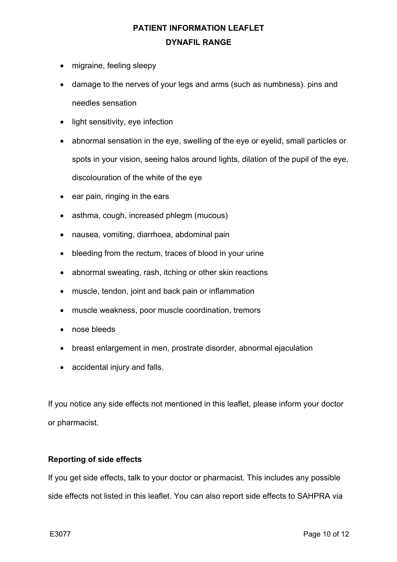- migraine, feeling sleepy
- damage to the nerves of your legs and arms (such as numbness). pins and needles sensation
- light sensitivity, eye infection
- abnormal sensation in the eye, swelling of the eye or eyelid, small particles or spots in your vision, seeing halos around lights, dilation of the pupil of the eye, discolouration of the white of the eye
- ear pain, ringing in the ears
- asthma, cough, increased phlegm (mucous)
- nausea, vomiting, diarrhoea, abdominal pain
- bleeding from the rectum, traces of blood in your urine
- abnormal sweating, rash, itching or other skin reactions
- muscle, tendon, joint and back pain or inflammation
- muscle weakness, poor muscle coordination, tremors
- nose bleeds
- breast enlargement in men, prostrate disorder, abnormal ejaculation
- accidental injury and falls.

If you notice any side effects not mentioned in this leaflet, please inform your doctor or pharmacist.

#### **Reporting of side effects**

If you get side effects, talk to your doctor or pharmacist. This includes any possible side effects not listed in this leaflet. You can also report side effects to SAHPRA via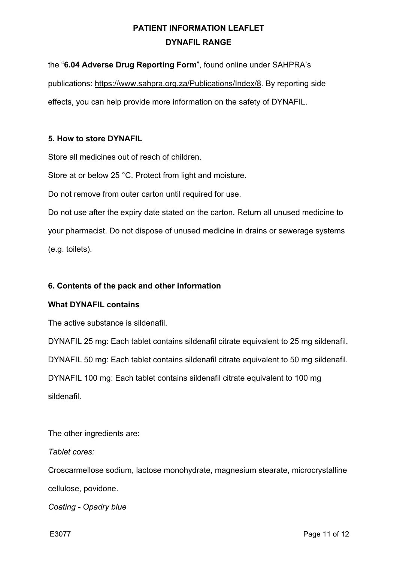the "**6.04 Adverse Drug Reporting Form**", found online under SAHPRA's

publications: https://www.sahpra.org.za/Publications/Index/8. By reporting side

effects, you can help provide more information on the safety of DYNAFIL.

### **5. How to store DYNAFIL**

Store all medicines out of reach of children.

Store at or below 25 °C. Protect from light and moisture.

Do not remove from outer carton until required for use.

Do not use after the expiry date stated on the carton. Return all unused medicine to your pharmacist. Do not dispose of unused medicine in drains or sewerage systems (e.g. toilets).

### **6. Contents of the pack and other information**

### **What DYNAFIL contains**

The active substance is sildenafil.

DYNAFIL 25 mg: Each tablet contains sildenafil citrate equivalent to 25 mg sildenafil. DYNAFIL 50 mg: Each tablet contains sildenafil citrate equivalent to 50 mg sildenafil. DYNAFIL 100 mg: Each tablet contains sildenafil citrate equivalent to 100 mg sildenafil.

The other ingredients are:

*Tablet cores:*

Croscarmellose sodium, lactose monohydrate, magnesium stearate, microcrystalline cellulose, povidone.

*Coating - Opadry blue*